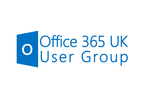# O Office 365 UK<br>User Group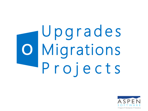### Upgrades Migrations  $\bullet$ Projects

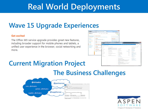#### **Real World Deployments**

#### **Wave 15 Upgrade Experiences**

#### **Get excited**

The Office 365 service upgrade provides great new features, including broader support for mobile phones and tablets, a unified user experience in the browser, social networking and more.

#### **Current Migration Project**



#### **The Business Challenges**



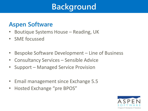#### **Background**

#### **Aspen Software**

- Boutique Systems House Reading, UK
- SME focussed
- Bespoke Software Development Line of Business
- Consultancy Services Sensible Advice
- Support Managed Service Provision
- Email management since Exchange 5.5
- Hosted Exchange "pre BPOS"

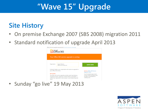#### **"Wave 15" Upgrade**

#### **Site History**

- On premise Exchange 2007 (SBS 2008) migration 2011
- Standard notification of upgrade April 2013



• Sunday "go live" 19 May 2013

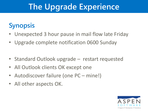#### **The Upgrade Experience**

#### **Synopsis**

- Unexpected 3 hour pause in mail flow late Friday
- Upgrade complete notification 0600 Sunday
- Standard Outlook upgrade restart requested
- All Outlook clients OK except one
- Autodiscover failure (one PC mine!)
- All other aspects OK.

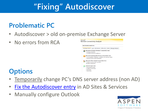### **"Fixing" Autodiscover**

#### **Problematic PC**

- Autodiscover > old on-premise Exchange Server
- No errors from RCA



#### **Options**

- Temporarily change PC's DNS server address (non AD)
- [Fix the Autodiscover](http://www.mcbsys.com/techblog/2011/08/using-office-365-in-an-sbs-2008-environment/) [entry](http://www.mcbsys.com/techblog/2011/08/using-office-365-in-an-sbs-2008-environment/) in AD Sites & Services
- Manually configure Outlook

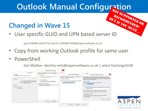## **Outlook Manual Configuration**<br> *Reconversion*

#### **Changed in Wave 15**

User specific GUID and UPN based server ID

eg 5218ef8d-acf9-471a-9ec9-c1595b87240d@aspensoftware.co.uk

- Copy from working Outlook profile for same user
- PowerShell

Get-Mailbox -Identity neils@aspensoftware.co.uk | select ExchangeGUID



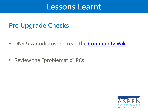#### **Lessons Learnt**

#### **Pre Upgrade Checks**

- DNS & Autodiscover read the **Community Wiki**
- Review the "problematic" PCs

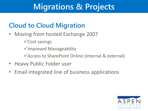#### **Migrations & Projects**

#### **Cloud to Cloud Migration**

- Moving from hosted Exchange 2007
	- Cost savings
	- $\checkmark$  Improved Manageability
	- Access to SharePoint Online (internal & external)
- Heavy Public Folder user
- Email integrated line of business applications

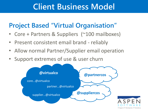#### **Client Business Model**

#### **Project Based "Virtual Organisation"**

- Core + Partners & Suppliers (~100 mailboxes)
- Present consistent email brand reliably
- Allow normal Partner/Supplier email operation
- Support extremes of use & user churn

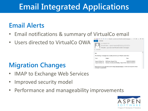### **Email Integrated Applications**

#### **Email Alerts**

- Email notifications & summary of VirtualCo email
- Users directed to VirtualCo OWA

#### **Migration Changes**

- IMAP to Exchange Web Services
- Improved security model
- Performance and manageability improvements



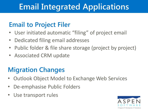#### **Email Integrated Applications**

#### **Email to Project Filer**

- User initiated automatic "filing" of project email
- Dedicated filing email addresses
- Public folder & file share storage (project by project)
- Associated CRM update

#### **Migration Changes**

- Outlook Object Model to Exchange Web Services
- De-emphasise Public Folders
- Use transport rules

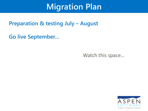#### **Migration Plan**

#### **Preparation & testing July - August**

**Go live September...** 

Watch this space...